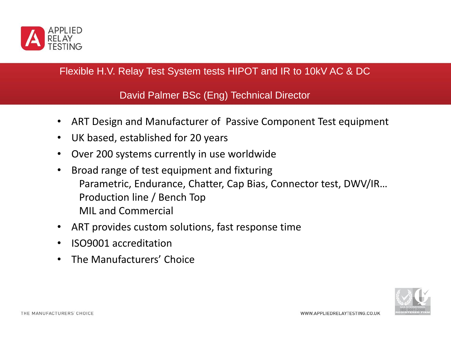

### Flexible H.V. Relay Test System tests HIPOT and IR to 10kV AC & DC

David Palmer BSc (Eng) Technical Director

- ART Design and Manufacturer of Passive Component Test equipment
- UK based, established for 20 years
- Over 200 systems currently in use worldwide
- Broad range of test equipment and fixturing Parametric, Endurance, Chatter, Cap Bias, Connector test, DWV/IR… Production line / Bench Top MIL and Commercial
- ART provides custom solutions, fast response time
- ISO9001 accreditation
- The Manufacturers' Choice

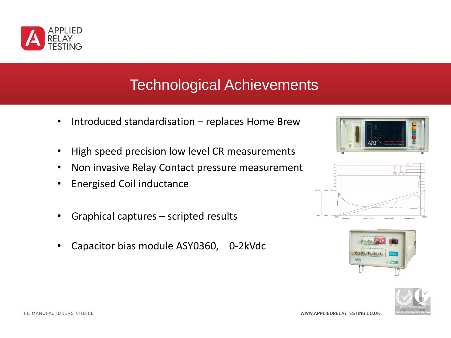

# Technological Achievements

- Introduced standardisation replaces Home Brew
- High speed precision low level CR measurements
- Non invasive Relay Contact pressure measurement
- Energised Coil inductance
- Graphical captures scripted results
- Capacitor bias module ASY0360, 0-2kVdc







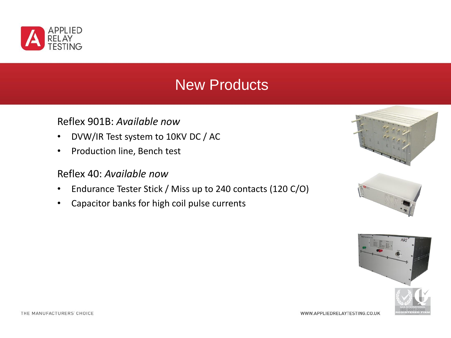

# New Products

#### Reflex 901B: *Available now*

- DVW/IR Test system to 10KV DC / AC
- Production line, Bench test

#### Reflex 40: *Available now*

- Endurance Tester Stick / Miss up to 240 contacts (120 C/O)
- Capacitor banks for high coil pulse currents





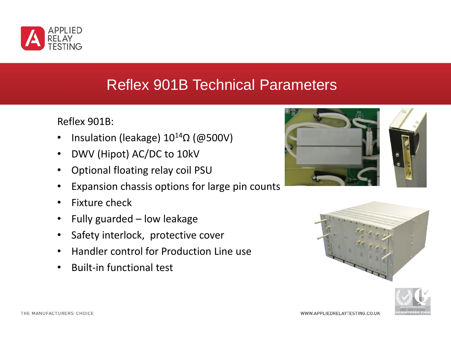

### Reflex 901B Technical Parameters

Reflex 901B:

- Insulation (leakage)  $10^{14}$ Ω (@500V)
- DWV (Hipot) AC/DC to 10kV
- Optional floating relay coil PSU
- Expansion chassis options for large pin counts
- Fixture check
- Fully guarded low leakage
- Safety interlock, protective cover
- Handler control for Production Line use
- Built-in functional test